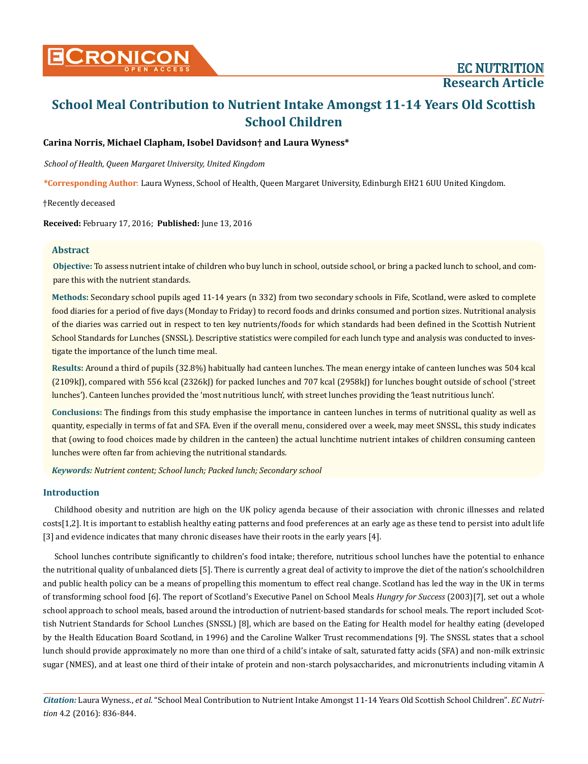## **Carina Norris, Michael Clapham, Isobel Davidson† and Laura Wyness\***

*School of Health, Queen Margaret University, United Kingdom*

**\*Corresponding Author**: Laura Wyness, School of Health, Queen Margaret University, Edinburgh EH21 6UU United Kingdom.

†Recently deceased

**Received:** February 17, 2016; **Published:** June 13, 2016

## **Abstract**

**Objective:** To assess nutrient intake of children who buy lunch in school, outside school, or bring a packed lunch to school, and compare this with the nutrient standards.

**Methods:** Secondary school pupils aged 11-14 years (n 332) from two secondary schools in Fife, Scotland, were asked to complete food diaries for a period of five days (Monday to Friday) to record foods and drinks consumed and portion sizes. Nutritional analysis of the diaries was carried out in respect to ten key nutrients/foods for which standards had been defined in the Scottish Nutrient School Standards for Lunches (SNSSL). Descriptive statistics were compiled for each lunch type and analysis was conducted to investigate the importance of the lunch time meal.

**Results:** Around a third of pupils (32.8%) habitually had canteen lunches. The mean energy intake of canteen lunches was 504 kcal (2109kJ), compared with 556 kcal (2326kJ) for packed lunches and 707 kcal (2958kJ) for lunches bought outside of school ('street lunches'). Canteen lunches provided the 'most nutritious lunch', with street lunches providing the 'least nutritious lunch'.

**Conclusions:** The findings from this study emphasise the importance in canteen lunches in terms of nutritional quality as well as quantity, especially in terms of fat and SFA. Even if the overall menu, considered over a week, may meet SNSSL, this study indicates that (owing to food choices made by children in the canteen) the actual lunchtime nutrient intakes of children consuming canteen lunches were often far from achieving the nutritional standards.

*Keywords: Nutrient content; School lunch; Packed lunch; Secondary school*

## **Introduction**

Childhood obesity and nutrition are high on the UK policy agenda because of their association with chronic illnesses and related costs[1,2]. It is important to establish healthy eating patterns and food preferences at an early age as these tend to persist into adult life [3] and evidence indicates that many chronic diseases have their roots in the early years [4].

School lunches contribute significantly to children's food intake; therefore, nutritious school lunches have the potential to enhance the nutritional quality of unbalanced diets [5]. There is currently a great deal of activity to improve the diet of the nation's schoolchildren and public health policy can be a means of propelling this momentum to effect real change. Scotland has led the way in the UK in terms of transforming school food [6]. The report of Scotland's Executive Panel on School Meals *Hungry for Success* (2003)[7], set out a whole school approach to school meals, based around the introduction of nutrient-based standards for school meals. The report included Scottish Nutrient Standards for School Lunches (SNSSL) [8], which are based on the Eating for Health model for healthy eating (developed by the Health Education Board Scotland, in 1996) and the Caroline Walker Trust recommendations [9]. The SNSSL states that a school lunch should provide approximately no more than one third of a child's intake of salt, saturated fatty acids (SFA) and non-milk extrinsic sugar (NMES), and at least one third of their intake of protein and non-starch polysaccharides, and micronutrients including vitamin A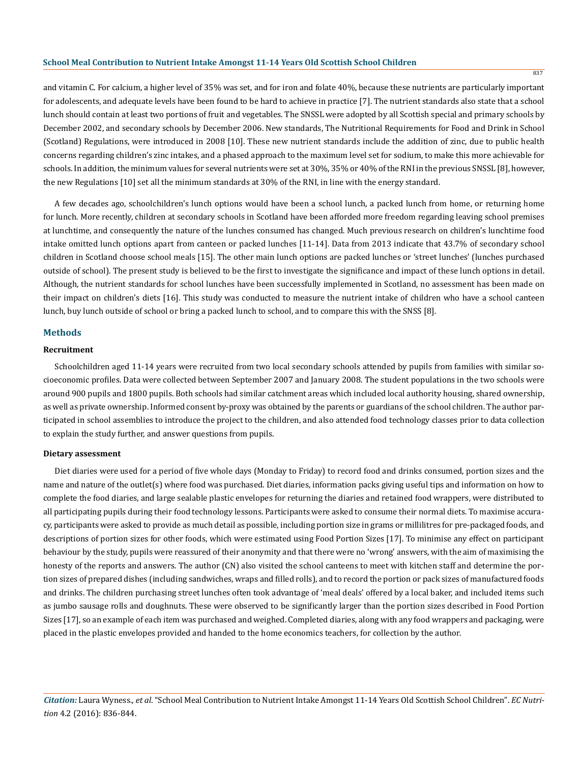and vitamin C. For calcium, a higher level of 35% was set, and for iron and folate 40%, because these nutrients are particularly important for adolescents, and adequate levels have been found to be hard to achieve in practice [7]. The nutrient standards also state that a school lunch should contain at least two portions of fruit and vegetables. The SNSSL were adopted by all Scottish special and primary schools by December 2002, and secondary schools by December 2006. New standards, The Nutritional Requirements for Food and Drink in School (Scotland) Regulations, were introduced in 2008 [10]. These new nutrient standards include the addition of zinc, due to public health concerns regarding children's zinc intakes, and a phased approach to the maximum level set for sodium, to make this more achievable for schools. In addition, the minimum values for several nutrients were set at 30%, 35% or 40% of the RNI in the previous SNSSL [8], however, the new Regulations [10] set all the minimum standards at 30% of the RNI, in line with the energy standard.

A few decades ago, schoolchildren's lunch options would have been a school lunch, a packed lunch from home, or returning home for lunch. More recently, children at secondary schools in Scotland have been afforded more freedom regarding leaving school premises at lunchtime, and consequently the nature of the lunches consumed has changed. Much previous research on children's lunchtime food intake omitted lunch options apart from canteen or packed lunches [11-14]. Data from 2013 indicate that 43.7% of secondary school children in Scotland choose school meals [15]. The other main lunch options are packed lunches or 'street lunches' (lunches purchased outside of school). The present study is believed to be the first to investigate the significance and impact of these lunch options in detail. Although, the nutrient standards for school lunches have been successfully implemented in Scotland, no assessment has been made on their impact on children's diets [16]. This study was conducted to measure the nutrient intake of children who have a school canteen lunch, buy lunch outside of school or bring a packed lunch to school, and to compare this with the SNSS [8].

## **Methods**

## **Recruitment**

Schoolchildren aged 11-14 years were recruited from two local secondary schools attended by pupils from families with similar socioeconomic profiles. Data were collected between September 2007 and January 2008. The student populations in the two schools were around 900 pupils and 1800 pupils. Both schools had similar catchment areas which included local authority housing, shared ownership, as well as private ownership. Informed consent by-proxy was obtained by the parents or guardians of the school children. The author participated in school assemblies to introduce the project to the children, and also attended food technology classes prior to data collection to explain the study further, and answer questions from pupils.

#### **Dietary assessment**

Diet diaries were used for a period of five whole days (Monday to Friday) to record food and drinks consumed, portion sizes and the name and nature of the outlet(s) where food was purchased. Diet diaries, information packs giving useful tips and information on how to complete the food diaries, and large sealable plastic envelopes for returning the diaries and retained food wrappers, were distributed to all participating pupils during their food technology lessons. Participants were asked to consume their normal diets. To maximise accuracy, participants were asked to provide as much detail as possible, including portion size in grams or millilitres for pre-packaged foods, and descriptions of portion sizes for other foods, which were estimated using Food Portion Sizes [17]. To minimise any effect on participant behaviour by the study, pupils were reassured of their anonymity and that there were no 'wrong' answers, with the aim of maximising the honesty of the reports and answers. The author (CN) also visited the school canteens to meet with kitchen staff and determine the portion sizes of prepared dishes (including sandwiches, wraps and filled rolls), and to record the portion or pack sizes of manufactured foods and drinks. The children purchasing street lunches often took advantage of 'meal deals' offered by a local baker, and included items such as jumbo sausage rolls and doughnuts. These were observed to be significantly larger than the portion sizes described in Food Portion Sizes [17], so an example of each item was purchased and weighed. Completed diaries, along with any food wrappers and packaging, were placed in the plastic envelopes provided and handed to the home economics teachers, for collection by the author.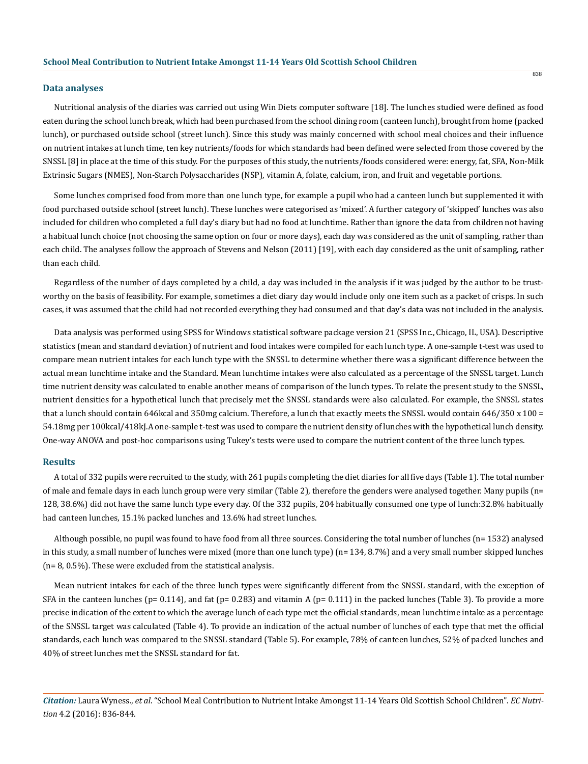#### **Data analyses**

Nutritional analysis of the diaries was carried out using Win Diets computer software [18]. The lunches studied were defined as food eaten during the school lunch break, which had been purchased from the school dining room (canteen lunch), brought from home (packed lunch), or purchased outside school (street lunch). Since this study was mainly concerned with school meal choices and their influence on nutrient intakes at lunch time, ten key nutrients/foods for which standards had been defined were selected from those covered by the SNSSL [8] in place at the time of this study. For the purposes of this study, the nutrients/foods considered were: energy, fat, SFA, Non-Milk Extrinsic Sugars (NMES), Non-Starch Polysaccharides (NSP), vitamin A, folate, calcium, iron, and fruit and vegetable portions.

Some lunches comprised food from more than one lunch type, for example a pupil who had a canteen lunch but supplemented it with food purchased outside school (street lunch). These lunches were categorised as 'mixed'. A further category of 'skipped' lunches was also included for children who completed a full day's diary but had no food at lunchtime. Rather than ignore the data from children not having a habitual lunch choice (not choosing the same option on four or more days), each day was considered as the unit of sampling, rather than each child. The analyses follow the approach of Stevens and Nelson (2011) [19], with each day considered as the unit of sampling, rather than each child.

Regardless of the number of days completed by a child, a day was included in the analysis if it was judged by the author to be trustworthy on the basis of feasibility. For example, sometimes a diet diary day would include only one item such as a packet of crisps. In such cases, it was assumed that the child had not recorded everything they had consumed and that day's data was not included in the analysis.

Data analysis was performed using SPSS for Windows statistical software package version 21 (SPSS Inc., Chicago, IL, USA). Descriptive statistics (mean and standard deviation) of nutrient and food intakes were compiled for each lunch type. A one-sample t-test was used to compare mean nutrient intakes for each lunch type with the SNSSL to determine whether there was a significant difference between the actual mean lunchtime intake and the Standard. Mean lunchtime intakes were also calculated as a percentage of the SNSSL target. Lunch time nutrient density was calculated to enable another means of comparison of the lunch types. To relate the present study to the SNSSL, nutrient densities for a hypothetical lunch that precisely met the SNSSL standards were also calculated. For example, the SNSSL states that a lunch should contain 646kcal and 350mg calcium. Therefore, a lunch that exactly meets the SNSSL would contain 646/350 x 100 = 54.18mg per 100kcal/418kJ.A one-sample t-test was used to compare the nutrient density of lunches with the hypothetical lunch density. One-way ANOVA and post-hoc comparisons using Tukey's tests were used to compare the nutrient content of the three lunch types.

## **Results**

A total of 332 pupils were recruited to the study, with 261 pupils completing the diet diaries for all five days (Table 1). The total number of male and female days in each lunch group were very similar (Table 2), therefore the genders were analysed together. Many pupils (n= 128, 38.6%) did not have the same lunch type every day. Of the 332 pupils, 204 habitually consumed one type of lunch:32.8% habitually had canteen lunches, 15.1% packed lunches and 13.6% had street lunches.

Although possible, no pupil was found to have food from all three sources. Considering the total number of lunches (n= 1532) analysed in this study, a small number of lunches were mixed (more than one lunch type) (n= 134, 8.7%) and a very small number skipped lunches (n= 8, 0.5%). These were excluded from the statistical analysis.

Mean nutrient intakes for each of the three lunch types were significantly different from the SNSSL standard, with the exception of SFA in the canteen lunches ( $p= 0.114$ ), and fat ( $p= 0.283$ ) and vitamin A ( $p= 0.111$ ) in the packed lunches (Table 3). To provide a more precise indication of the extent to which the average lunch of each type met the official standards, mean lunchtime intake as a percentage of the SNSSL target was calculated (Table 4). To provide an indication of the actual number of lunches of each type that met the official standards, each lunch was compared to the SNSSL standard (Table 5). For example, 78% of canteen lunches, 52% of packed lunches and 40% of street lunches met the SNSSL standard for fat.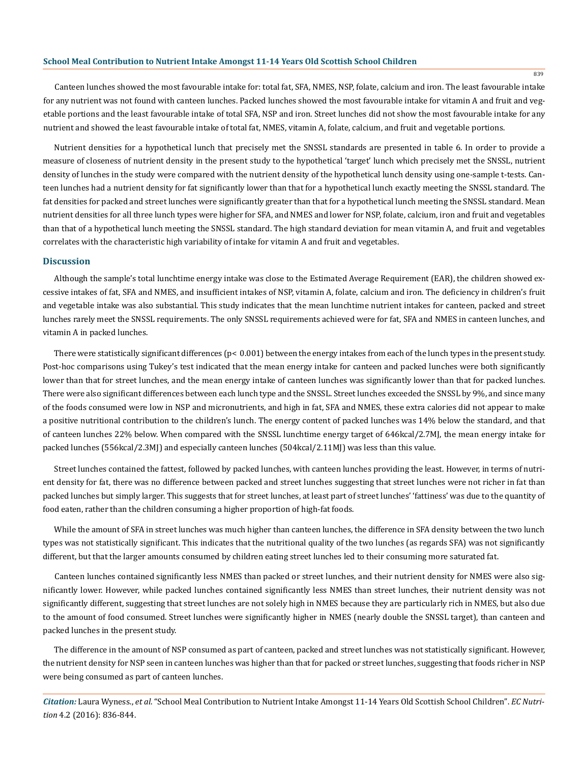Canteen lunches showed the most favourable intake for: total fat, SFA, NMES, NSP, folate, calcium and iron. The least favourable intake for any nutrient was not found with canteen lunches. Packed lunches showed the most favourable intake for vitamin A and fruit and vegetable portions and the least favourable intake of total SFA, NSP and iron. Street lunches did not show the most favourable intake for any nutrient and showed the least favourable intake of total fat, NMES, vitamin A, folate, calcium, and fruit and vegetable portions.

Nutrient densities for a hypothetical lunch that precisely met the SNSSL standards are presented in table 6. In order to provide a measure of closeness of nutrient density in the present study to the hypothetical 'target' lunch which precisely met the SNSSL, nutrient density of lunches in the study were compared with the nutrient density of the hypothetical lunch density using one-sample t-tests. Canteen lunches had a nutrient density for fat significantly lower than that for a hypothetical lunch exactly meeting the SNSSL standard. The fat densities for packed and street lunches were significantly greater than that for a hypothetical lunch meeting the SNSSL standard. Mean nutrient densities for all three lunch types were higher for SFA, and NMES and lower for NSP, folate, calcium, iron and fruit and vegetables than that of a hypothetical lunch meeting the SNSSL standard. The high standard deviation for mean vitamin A, and fruit and vegetables correlates with the characteristic high variability of intake for vitamin A and fruit and vegetables.

#### **Discussion**

Although the sample's total lunchtime energy intake was close to the Estimated Average Requirement (EAR), the children showed excessive intakes of fat, SFA and NMES, and insufficient intakes of NSP, vitamin A, folate, calcium and iron. The deficiency in children's fruit and vegetable intake was also substantial. This study indicates that the mean lunchtime nutrient intakes for canteen, packed and street lunches rarely meet the SNSSL requirements. The only SNSSL requirements achieved were for fat, SFA and NMES in canteen lunches, and vitamin A in packed lunches.

There were statistically significant differences ( $p < 0.001$ ) between the energy intakes from each of the lunch types in the present study. Post-hoc comparisons using Tukey's test indicated that the mean energy intake for canteen and packed lunches were both significantly lower than that for street lunches, and the mean energy intake of canteen lunches was significantly lower than that for packed lunches. There were also significant differences between each lunch type and the SNSSL. Street lunches exceeded the SNSSL by 9%, and since many of the foods consumed were low in NSP and micronutrients, and high in fat, SFA and NMES, these extra calories did not appear to make a positive nutritional contribution to the children's lunch. The energy content of packed lunches was 14% below the standard, and that of canteen lunches 22% below. When compared with the SNSSL lunchtime energy target of 646kcal/2.7MJ, the mean energy intake for packed lunches (556kcal/2.3MJ) and especially canteen lunches (504kcal/2.11MJ) was less than this value.

Street lunches contained the fattest, followed by packed lunches, with canteen lunches providing the least. However, in terms of nutrient density for fat, there was no difference between packed and street lunches suggesting that street lunches were not richer in fat than packed lunches but simply larger. This suggests that for street lunches, at least part of street lunches' 'fattiness' was due to the quantity of food eaten, rather than the children consuming a higher proportion of high-fat foods.

While the amount of SFA in street lunches was much higher than canteen lunches, the difference in SFA density between the two lunch types was not statistically significant. This indicates that the nutritional quality of the two lunches (as regards SFA) was not significantly different, but that the larger amounts consumed by children eating street lunches led to their consuming more saturated fat.

Canteen lunches contained significantly less NMES than packed or street lunches, and their nutrient density for NMES were also significantly lower. However, while packed lunches contained significantly less NMES than street lunches, their nutrient density was not significantly different, suggesting that street lunches are not solely high in NMES because they are particularly rich in NMES, but also due to the amount of food consumed. Street lunches were significantly higher in NMES (nearly double the SNSSL target), than canteen and packed lunches in the present study.

The difference in the amount of NSP consumed as part of canteen, packed and street lunches was not statistically significant. However, the nutrient density for NSP seen in canteen lunches was higher than that for packed or street lunches, suggesting that foods richer in NSP were being consumed as part of canteen lunches.

*Citation:* Laura Wyness., *et al*. "School Meal Contribution to Nutrient Intake Amongst 11-14 Years Old Scottish School Children". *EC Nutrition* 4.2 (2016): 836-844.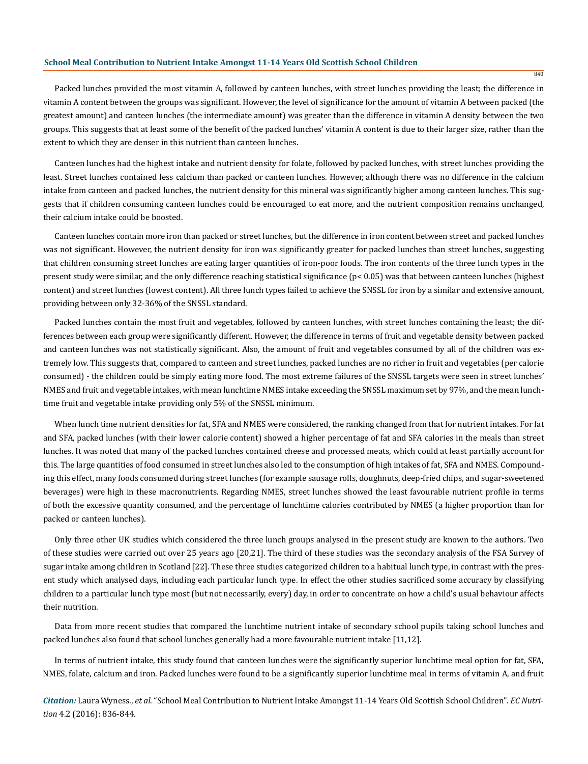Packed lunches provided the most vitamin A, followed by canteen lunches, with street lunches providing the least; the difference in vitamin A content between the groups was significant. However, the level of significance for the amount of vitamin A between packed (the greatest amount) and canteen lunches (the intermediate amount) was greater than the difference in vitamin A density between the two groups. This suggests that at least some of the benefit of the packed lunches' vitamin A content is due to their larger size, rather than the extent to which they are denser in this nutrient than canteen lunches.

Canteen lunches had the highest intake and nutrient density for folate, followed by packed lunches, with street lunches providing the least. Street lunches contained less calcium than packed or canteen lunches. However, although there was no difference in the calcium intake from canteen and packed lunches, the nutrient density for this mineral was significantly higher among canteen lunches. This suggests that if children consuming canteen lunches could be encouraged to eat more, and the nutrient composition remains unchanged, their calcium intake could be boosted.

Canteen lunches contain more iron than packed or street lunches, but the difference in iron content between street and packed lunches was not significant. However, the nutrient density for iron was significantly greater for packed lunches than street lunches, suggesting that children consuming street lunches are eating larger quantities of iron-poor foods. The iron contents of the three lunch types in the present study were similar, and the only difference reaching statistical significance (p< 0.05) was that between canteen lunches (highest content) and street lunches (lowest content). All three lunch types failed to achieve the SNSSL for iron by a similar and extensive amount, providing between only 32-36% of the SNSSL standard.

Packed lunches contain the most fruit and vegetables, followed by canteen lunches, with street lunches containing the least; the differences between each group were significantly different. However, the difference in terms of fruit and vegetable density between packed and canteen lunches was not statistically significant. Also, the amount of fruit and vegetables consumed by all of the children was extremely low. This suggests that, compared to canteen and street lunches, packed lunches are no richer in fruit and vegetables (per calorie consumed) - the children could be simply eating more food. The most extreme failures of the SNSSL targets were seen in street lunches' NMES and fruit and vegetable intakes, with mean lunchtime NMES intake exceeding the SNSSL maximum set by 97%, and the mean lunchtime fruit and vegetable intake providing only 5% of the SNSSL minimum.

When lunch time nutrient densities for fat, SFA and NMES were considered, the ranking changed from that for nutrient intakes. For fat and SFA, packed lunches (with their lower calorie content) showed a higher percentage of fat and SFA calories in the meals than street lunches. It was noted that many of the packed lunches contained cheese and processed meats, which could at least partially account for this. The large quantities of food consumed in street lunches also led to the consumption of high intakes of fat, SFA and NMES. Compounding this effect, many foods consumed during street lunches (for example sausage rolls, doughnuts, deep-fried chips, and sugar-sweetened beverages) were high in these macronutrients. Regarding NMES, street lunches showed the least favourable nutrient profile in terms of both the excessive quantity consumed, and the percentage of lunchtime calories contributed by NMES (a higher proportion than for packed or canteen lunches).

Only three other UK studies which considered the three lunch groups analysed in the present study are known to the authors. Two of these studies were carried out over 25 years ago [20,21]. The third of these studies was the secondary analysis of the FSA Survey of sugar intake among children in Scotland [22]. These three studies categorized children to a habitual lunch type, in contrast with the present study which analysed days, including each particular lunch type. In effect the other studies sacrificed some accuracy by classifying children to a particular lunch type most (but not necessarily, every) day, in order to concentrate on how a child's usual behaviour affects their nutrition.

Data from more recent studies that compared the lunchtime nutrient intake of secondary school pupils taking school lunches and packed lunches also found that school lunches generally had a more favourable nutrient intake [11,12].

In terms of nutrient intake, this study found that canteen lunches were the significantly superior lunchtime meal option for fat, SFA, NMES, folate, calcium and iron. Packed lunches were found to be a significantly superior lunchtime meal in terms of vitamin A, and fruit

*Citation:* Laura Wyness., *et al*. "School Meal Contribution to Nutrient Intake Amongst 11-14 Years Old Scottish School Children". *EC Nutrition* 4.2 (2016): 836-844.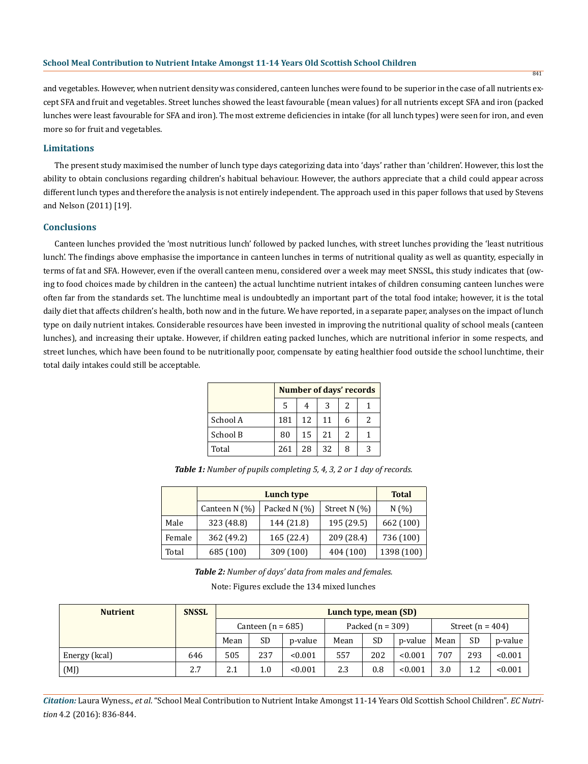841

and vegetables. However, when nutrient density was considered, canteen lunches were found to be superior in the case of all nutrients except SFA and fruit and vegetables. Street lunches showed the least favourable (mean values) for all nutrients except SFA and iron (packed lunches were least favourable for SFA and iron). The most extreme deficiencies in intake (for all lunch types) were seen for iron, and even more so for fruit and vegetables.

## **Limitations**

The present study maximised the number of lunch type days categorizing data into 'days' rather than 'children'. However, this lost the ability to obtain conclusions regarding children's habitual behaviour. However, the authors appreciate that a child could appear across different lunch types and therefore the analysis is not entirely independent. The approach used in this paper follows that used by Stevens and Nelson (2011) [19].

## **Conclusions**

Canteen lunches provided the 'most nutritious lunch' followed by packed lunches, with street lunches providing the 'least nutritious lunch'. The findings above emphasise the importance in canteen lunches in terms of nutritional quality as well as quantity, especially in terms of fat and SFA. However, even if the overall canteen menu, considered over a week may meet SNSSL, this study indicates that (owing to food choices made by children in the canteen) the actual lunchtime nutrient intakes of children consuming canteen lunches were often far from the standards set. The lunchtime meal is undoubtedly an important part of the total food intake; however, it is the total daily diet that affects children's health, both now and in the future. We have reported, in a separate paper, analyses on the impact of lunch type on daily nutrient intakes. Considerable resources have been invested in improving the nutritional quality of school meals (canteen lunches), and increasing their uptake. However, if children eating packed lunches, which are nutritional inferior in some respects, and street lunches, which have been found to be nutritionally poor, compensate by eating healthier food outside the school lunchtime, their total daily intakes could still be acceptable.

|          | Number of days' records |    |    |               |   |  |  |  |  |
|----------|-------------------------|----|----|---------------|---|--|--|--|--|
|          | 5                       | 2  |    |               |   |  |  |  |  |
| School A | 181                     | 12 | 11 | 6             | 2 |  |  |  |  |
| School B | 80                      | 15 | 21 | $\mathcal{L}$ |   |  |  |  |  |
| Total    | 261                     | 28 | 32 | 8             | 3 |  |  |  |  |

*Table 1: Number of pupils completing 5, 4, 3, 2 or 1 day of records.*

|        |                 | <b>Total</b> |                |              |
|--------|-----------------|--------------|----------------|--------------|
|        | Canteen $N(\%)$ | Packed N (%) | Street $N(% )$ | N(%          |
| Male   | 323 (48.8)      | 144 (21.8)   | 195 (29.5)     | 662 (100)    |
| Female | 362 (49.2)      | 165 (22.4)   | 209 (28.4)     | 736 (100)    |
| Total  | 685 (100)       | 309 (100)    | 404 (100)      | 1398 $(100)$ |

*Table 2: Number of days' data from males and females.*

Note: Figures exclude the 134 mixed lunches

| <b>Nutrient</b> | <b>SNSSL</b> | Lunch type, mean (SD) |           |         |                    |           |         |                    |           |         |
|-----------------|--------------|-----------------------|-----------|---------|--------------------|-----------|---------|--------------------|-----------|---------|
|                 |              | Canteen $(n = 685)$   |           |         | Packed $(n = 309)$ |           |         | Street $(n = 404)$ |           |         |
|                 |              | Mean                  | <b>SD</b> | p-value | Mean               | <b>SD</b> | p-value | Mean               | <b>SD</b> | p-value |
| Energy (kcal)   | 646          | 505                   | 237       | < 0.001 | 557                | 202       | < 0.001 | 707                | 293       | < 0.001 |
| (MJ)            | 2.7          | 2.1                   | 1.0       | < 0.001 | 2.3                | 0.8       | < 0.001 | 3.0                | 1.2       | < 0.001 |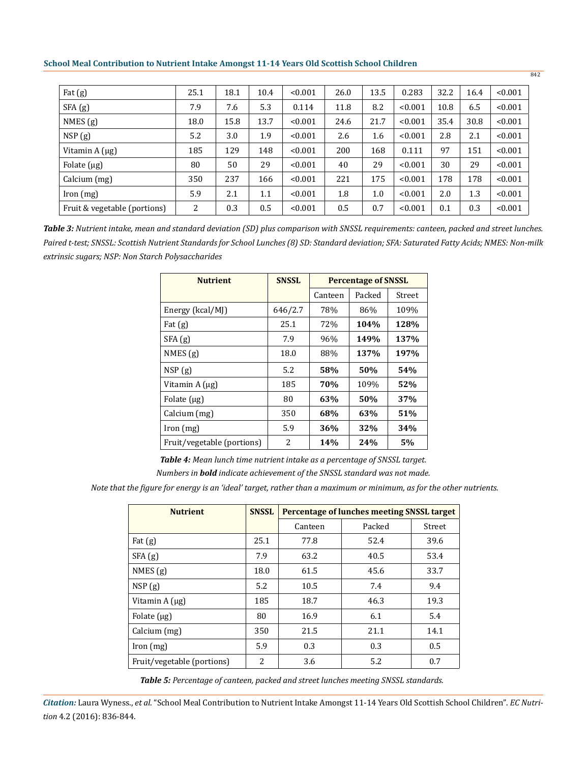| Fat $(g)$                    | 25.1 | 18.1 | 10.4 | < 0.001 | 26.0 | 13.5 | 0.283   | 32.2 | 16.4 | < 0.001 |
|------------------------------|------|------|------|---------|------|------|---------|------|------|---------|
| SFA(g)                       | 7.9  | 7.6  | 5.3  | 0.114   | 11.8 | 8.2  | < 0.001 | 10.8 | 6.5  | < 0.001 |
| NMES(g)                      | 18.0 | 15.8 | 13.7 | < 0.001 | 24.6 | 21.7 | < 0.001 | 35.4 | 30.8 | < 0.001 |
| NSP(g)                       | 5.2  | 3.0  | 1.9  | < 0.001 | 2.6  | 1.6  | < 0.001 | 2.8  | 2.1  | < 0.001 |
| Vitamin $A(\mu g)$           | 185  | 129  | 148  | < 0.001 | 200  | 168  | 0.111   | 97   | 151  | < 0.001 |
| Folate $(\mu g)$             | 80   | 50   | 29   | < 0.001 | 40   | 29   | < 0.001 | 30   | 29   | < 0.001 |
| Calcium (mg)                 | 350  | 237  | 166  | < 0.001 | 221  | 175  | < 0.001 | 178  | 178  | < 0.001 |
| [ron (mg)]                   | 5.9  | 2.1  | 1.1  | < 0.001 | 1.8  | 1.0  | < 0.001 | 2.0  | 1.3  | < 0.001 |
| Fruit & vegetable (portions) | 2    | 0.3  | 0.5  | < 0.001 | 0.5  | 0.7  | < 0.001 | 0.1  | 0.3  | < 0.001 |

842

*Paired t-test; SNSSL: Scottish Nutrient Standards for School Lunches (8) SD: Standard deviation; SFA: Saturated Fatty Acids; NMES: Non-milk extrinsic sugars; NSP: Non Starch Polysaccharides Table 3: Nutrient intake, mean and standard deviation (SD) plus comparison with SNSSL requirements: canteen, packed and street lunches.*

| <b>Nutrient</b>            | <b>SNSSL</b> | <b>Percentage of SNSSL</b> |        |        |  |  |
|----------------------------|--------------|----------------------------|--------|--------|--|--|
|                            |              | Canteen                    | Packed | Street |  |  |
| Energy (kcal/MJ)           | 646/2.7      | 78%                        | 86%    | 109%   |  |  |
| Fat $(g)$                  | 25.1         | 72%                        | 104%   | 128%   |  |  |
| SFA(g)                     | 7.9          | 96%                        | 149%   | 137%   |  |  |
| NMES(g)                    | 18.0         | 88%                        | 137%   | 197%   |  |  |
| NSP(g)                     | 5.2          | 58%                        | 50%    | 54%    |  |  |
| Vitamin $A(\mu g)$         | 185          | 70%                        | 109%   | 52%    |  |  |
| Folate $(\mu g)$           | 80           | 63%                        | 50%    | 37%    |  |  |
| Calcium (mg)               | 350          | 68%                        | 63%    | 51%    |  |  |
| [ron (mg)]                 | 5.9          | 36%                        | 32%    | 34%    |  |  |
| Fruit/vegetable (portions) | 2            | 14%                        | 24%    | 5%     |  |  |

*Table 4: Mean lunch time nutrient intake as a percentage of SNSSL target.*

*Numbers in bold indicate achievement of the SNSSL standard was not made.*

*Note that the figure for energy is an 'ideal' target, rather than a maximum or minimum, as for the other nutrients.*

| <b>Nutrient</b>            | <b>SNSSL</b> | Percentage of lunches meeting SNSSL target |        |        |  |  |  |
|----------------------------|--------------|--------------------------------------------|--------|--------|--|--|--|
|                            |              | Canteen                                    | Packed | Street |  |  |  |
| Fat $(g)$                  | 25.1         | 77.8                                       | 52.4   | 39.6   |  |  |  |
| SFA(g)                     | 7.9          | 63.2                                       | 40.5   | 53.4   |  |  |  |
| NMES $(g)$                 | 18.0         | 61.5                                       | 45.6   | 33.7   |  |  |  |
| NSP(g)                     | 5.2          | 10.5                                       | 7.4    | 9.4    |  |  |  |
| Vitamin $A(\mu g)$         | 185          | 18.7                                       | 46.3   | 19.3   |  |  |  |
| Folate $(\mu g)$           | 80           | 16.9                                       | 6.1    | 5.4    |  |  |  |
| Calcium (mg)               | 350          | 21.5                                       | 21.1   | 14.1   |  |  |  |
| Iron (mg)                  | 5.9          | 0.3                                        | 0.3    | 0.5    |  |  |  |
| Fruit/vegetable (portions) | 2            | 3.6                                        | 5.2    | 0.7    |  |  |  |

*Table 5: Percentage of canteen, packed and street lunches meeting SNSSL standards.*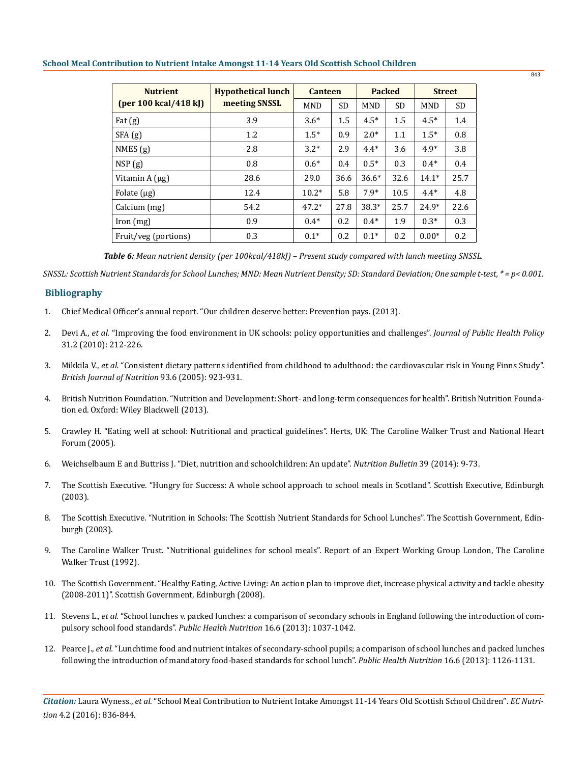| <b>Nutrient</b>      | <b>Hypothetical lunch</b> | <b>Canteen</b> |           | <b>Packed</b> |           | <b>Street</b> |           |
|----------------------|---------------------------|----------------|-----------|---------------|-----------|---------------|-----------|
| [per 100 kcal/418 k] | meeting SNSSL             | <b>MND</b>     | <b>SD</b> | <b>MND</b>    | <b>SD</b> | <b>MND</b>    | <b>SD</b> |
| Fat $(g)$            | 3.9                       | $3.6*$         | 1.5       | $4.5*$        | 1.5       | $4.5*$        | 1.4       |
| SFA(g)               | 1.2                       | $1.5*$         | 0.9       | $2.0*$        | 1.1       | $1.5*$        | 0.8       |
| NMES(g)              | 2.8                       | $3.2*$         | 2.9       | $4.4*$        | 3.6       | $4.9*$        | 3.8       |
| NSP(g)               | 0.8                       | $0.6*$         | 0.4       | $0.5*$        | 0.3       | $0.4*$        | 0.4       |
| Vitamin $A(\mu g)$   | 28.6                      | 29.0           | 36.6      | $36.6*$       | 32.6      | $14.1*$       | 25.7      |
| Folate $(\mu g)$     | 12.4                      | $10.2*$        | 5.8       | $7.9*$        | 10.5      | $4.4*$        | 4.8       |
| Calcium (mg)         | 54.2                      | $47.2*$        | 27.8      | $38.3*$       | 25.7      | $24.9*$       | 22.6      |
| [ron (mg)]           | 0.9                       | $0.4*$         | 0.2       | $0.4*$        | 1.9       | $0.3*$        | 0.3       |
| Fruit/veg (portions) | 0.3                       | $0.1*$         | 0.2       | $0.1*$        | 0.2       | $0.00*$       | 0.2       |

*Table 6: Mean nutrient density (per 100kcal/418kJ) – Present study compared with lunch meeting SNSSL.*

*SNSSL: Scottish Nutrient Standards for School Lunches; MND: Mean Nutrient Density; SD: Standard Deviation; One sample t-test, \* = p< 0.001.* 

## **Bibliography**

- 1. [Chief Medical Officer's annual report. "Our children deserve better: Prevention pays. \(2013\).](https://www.gov.uk/government/publications/chief-medical-officers-annual-report-2012-our-children-deserve-better-prevention-pays)
- 2. Devi A., *et al.* "Improving the food environment in UK schools: policy opportunities and challenges". *Journal of Public Health Policy*  31.2 (2010): 212-226.
- 3. Mikkila V., *et al.* "Consistent dietary patterns identified from childhood to adulthood: the cardiovascular risk in Young Finns Study". *British Journal of Nutrition* 93.6 (2005): 923-931.
- 4. British Nutrition Foundation. "Nutrition and Development: Short- and long-term consequences for health". British Nutrition Foundation ed. Oxford: Wiley Blackwell (2013).
- 5. Crawley H. "Eating well at school: Nutritional and practical guidelines". Herts, UK: The Caroline Walker Trust and National Heart Forum (2005).
- 6. Weichselbaum E and Buttriss J. "Diet, nutrition and schoolchildren: An update". *Nutrition Bulletin* 39 (2014): 9-73.
- 7. The Scottish Executive. "Hungry for Success: A whole school approach to school meals in Scotland". Scottish Executive, Edinburgh (2003).
- 8. The Scottish Executive. "Nutrition in Schools: The Scottish Nutrient Standards for School Lunches". The Scottish Government, Edinburgh (2003).
- 9. The Caroline Walker Trust. "Nutritional guidelines for school meals". Report of an Expert Working Group London, The Caroline Walker Trust (1992).
- 10. The Scottish Government. "Healthy Eating, Active Living: An action plan to improve diet, increase physical activity and tackle obesity (2008-2011)". Scottish Government, Edinburgh (2008).
- 11. Stevens L., *et al.* "School lunches v. packed lunches: a comparison of secondary schools in England following the introduction of compulsory school food standards". *Public Health Nutrition* 16.6 (2013): 1037-1042.
- 12. Pearce J., *et al.* "Lunchtime food and nutrient intakes of secondary-school pupils; a comparison of school lunches and packed lunches following the introduction of mandatory food-based standards for school lunch". *Public Health Nutrition* 16.6 (2013): 1126-1131.

*Citation:* Laura Wyness., *et al*. "School Meal Contribution to Nutrient Intake Amongst 11-14 Years Old Scottish School Children". *EC Nutrition* 4.2 (2016): 836-844.